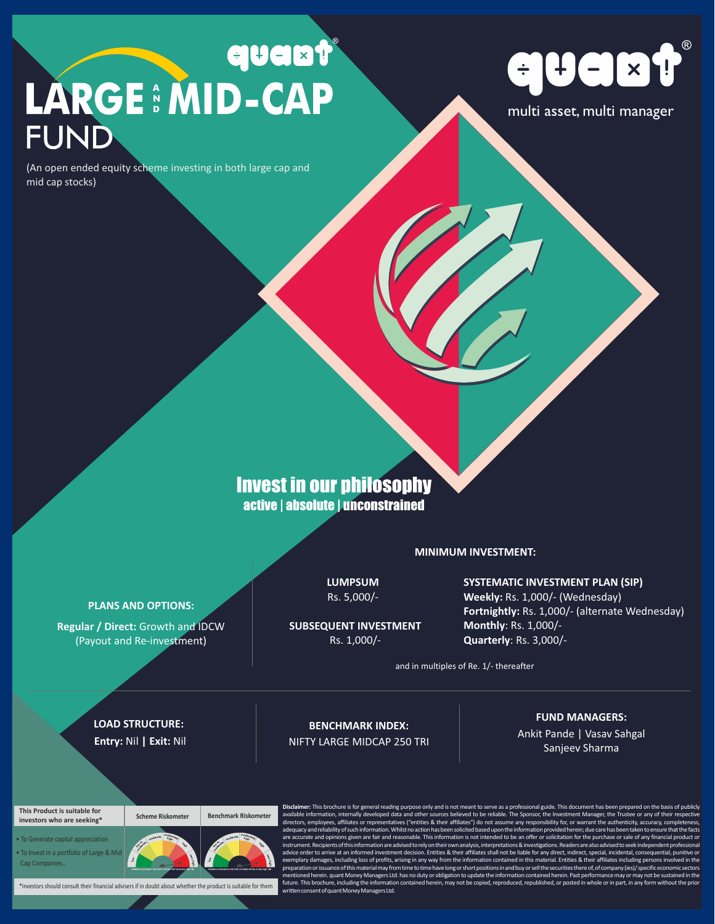# **LARGE : MID-CAP FUND**

(An open ended equity scheme investing in both large cap and mid cap stocks)



multi asset, multi manager

## **Invest in our philosophy** active | absolute | unconstrained

**MINIMUM INVESTMENT:** 

**LUMPSUM** Rs. 5,000/- **SYSTEMATIC INVESTMENT PLAN (SIP) Weekly:** Rs. 1,000/- (Wednesday) **Fortnightly:** Rs. 1,000/- (alternate Wednesday) **Monthly**: Rs. 1,000/- **Quarterly**: Rs. 3,000/-

and in multiples of Re. 1/- thereafter

**LOAD STRUCTURE: Entry:** Nil **| Exit:** Nil

**PLANS AND OPTIONS: Regular / Direct:** Growth and IDCW (Payout and Re-investment)

> **BENCHMARK INDEX:**  NIFTY LARGE MIDCAP 250 TRI

**SUBSEQUENT INVESTMENT** Rs. 1,000/-

**FUND MANAGERS:** 

Ankit Pande | Vasav Sahgal Sanjeev Sharma

#### **This Product is suitable for investors who are seeking\***

**Scheme Riskometer Benchmark Riskometer**

• To Generate capital appreciation • To Invest in a portfolio of Large & Mid Cap Companies..



\*Investors should consult their financial advisers if in doubt about whether the product is suitable for them

**Disclaimer:** This brochure is for general reading purpose only and is not meant to serve as a professional guide. This document has been prepared on the basis of publicly<br>available information, internally developed data a directors, employees, affiliates or representatives ("entities & their affiliates") do not assume any responsibility for, or warrant the authenticity, accuracy, completeness, and the authenticity, accuracy, completeness, a adequacyand reliability of such information. Whilst no action has been solicited based upon the information provided herein; due care has been taken to ensure that the facts<br>are accurate and opinions given are fair and rea instrument.Recipientsofthisinformationareadvisedtorelyontheirownanalysis,interpretations&investigations.Readersarealsoadvisedtoseekindependentprofessional advice order to arrive at an informed investment decision. Entities & their affiliates shall not be liable for any direct, indirect, special, incidental, consequential, punitive or<br>exemplary damages, including loss of prof preparation or issuance of this material may from time to time have long or short positions in and buy or sell the securities there of, of company (ies)/ specific economic sectors<br>mentioned herein. quant Money Managers Ltd written.com.com.com<br>It of quant Money Managers Ltd